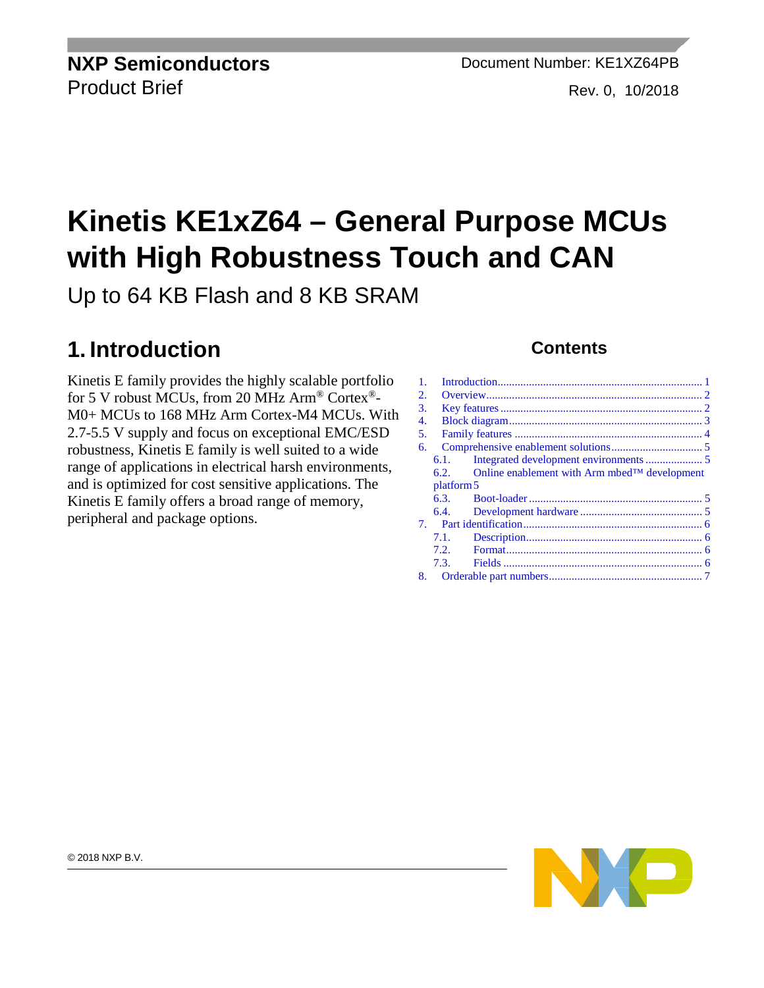# **Kinetis KE1xZ64 – General Purpose MCUs with High Robustness Touch and CAN**

Up to 64 KB Flash and 8 KB SRAM

### <span id="page-0-0"></span>**1. Introduction**

Kinetis E family provides the highly scalable portfolio for 5 V robust MCUs, from 20 MHz Arm® Cortex®- M0+ MCUs to 168 MHz Arm Cortex-M4 MCUs. With 2.7-5.5 V supply and focus on exceptional EMC/ESD robustness, Kinetis E family is well suited to a wide range of applications in electrical harsh environments, and is optimized for cost sensitive applications. The Kinetis E family offers a broad range of memory, peripheral and package options.

#### **Contents**

| 1. |               |                                                  |  |  |
|----|---------------|--------------------------------------------------|--|--|
| 2. |               |                                                  |  |  |
| 3. |               |                                                  |  |  |
| 4. |               |                                                  |  |  |
| 5. |               |                                                  |  |  |
| 6. |               |                                                  |  |  |
|    | 6.1.          |                                                  |  |  |
|    | $6.2_{\circ}$ | Online enablement with Arm mbed $TM$ development |  |  |
|    |               |                                                  |  |  |
|    | platform 5    |                                                  |  |  |
|    | 6.3.          |                                                  |  |  |
|    | 6.4.          |                                                  |  |  |
|    |               |                                                  |  |  |
|    | 7.1.          |                                                  |  |  |
|    | 7.2.          |                                                  |  |  |
|    | 7.3.          |                                                  |  |  |
|    | 8.            |                                                  |  |  |

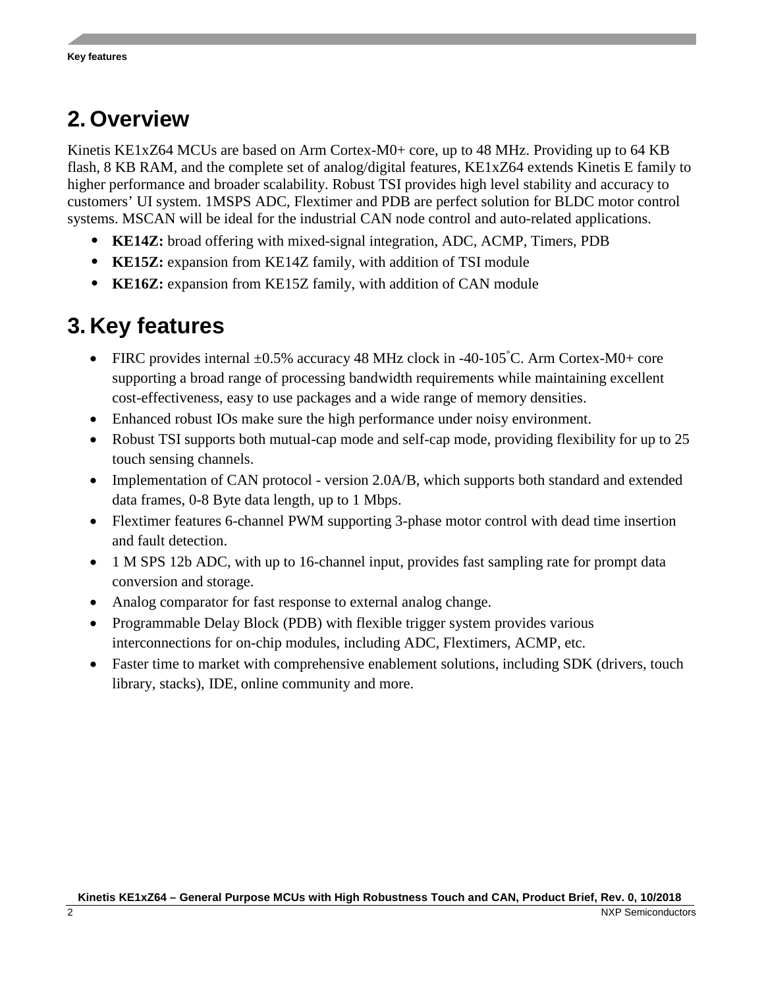### <span id="page-1-0"></span>**2. Overview**

Kinetis KE1xZ64 MCUs are based on Arm Cortex-M0+ core, up to 48 MHz. Providing up to 64 KB flash, 8 KB RAM, and the complete set of analog/digital features, KE1xZ64 extends Kinetis E family to higher performance and broader scalability. Robust TSI provides high level stability and accuracy to customers' UI system. 1MSPS ADC, Flextimer and PDB are perfect solution for BLDC motor control systems. MSCAN will be ideal for the industrial CAN node control and auto-related applications.

- **KE14Z:** broad offering with mixed-signal integration, ADC, ACMP, Timers, PDB
- **KE15Z:** expansion from KE14Z family, with addition of TSI module
- **KE16Z:** expansion from KE15Z family, with addition of CAN module

### <span id="page-1-1"></span>**3. Key features**

- FIRC provides internal  $\pm 0.5\%$  accuracy 48 MHz clock in -40-105°C. Arm Cortex-M0+ core supporting a broad range of processing bandwidth requirements while maintaining excellent cost-effectiveness, easy to use packages and a wide range of memory densities.
- Enhanced robust IOs make sure the high performance under noisy environment.
- Robust TSI supports both mutual-cap mode and self-cap mode, providing flexibility for up to 25 touch sensing channels.
- Implementation of CAN protocol version 2.0A/B, which supports both standard and extended data frames, 0-8 Byte data length, up to 1 Mbps.
- Flextimer features 6-channel PWM supporting 3-phase motor control with dead time insertion and fault detection.
- 1 M SPS 12b ADC, with up to 16-channel input, provides fast sampling rate for prompt data conversion and storage.
- Analog comparator for fast response to external analog change.
- Programmable Delay Block (PDB) with flexible trigger system provides various interconnections for on-chip modules, including ADC, Flextimers, ACMP, etc.
- Faster time to market with comprehensive enablement solutions, including SDK (drivers, touch library, stacks), IDE, online community and more.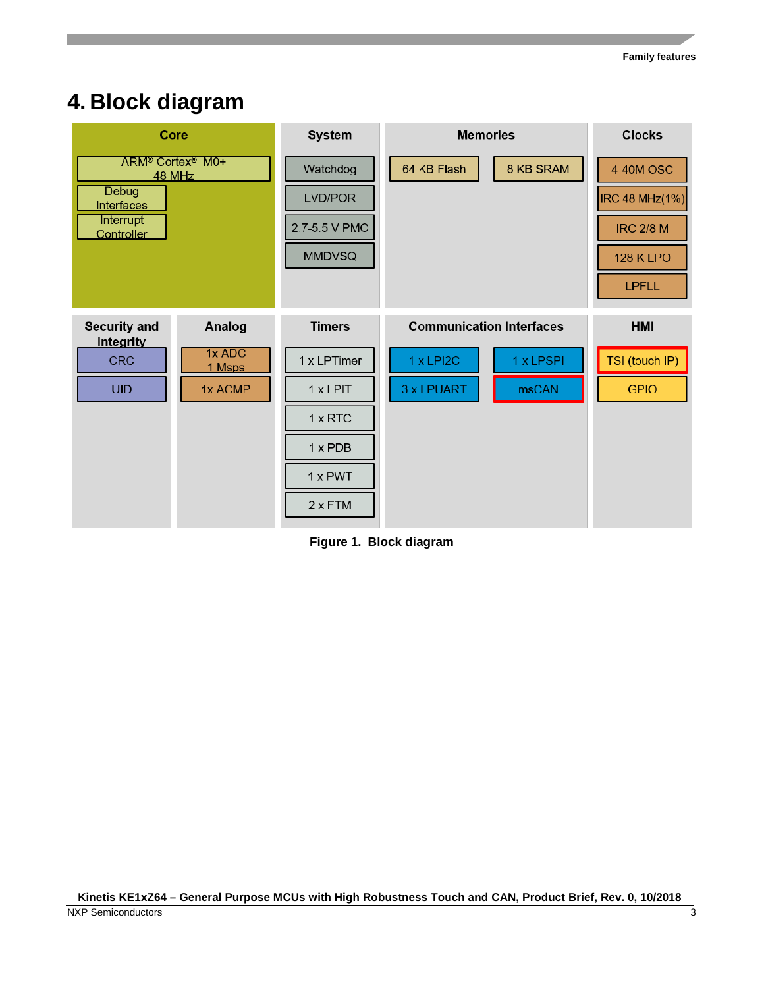### <span id="page-2-0"></span>**4. Block diagram**



**Figure 1. Block diagram**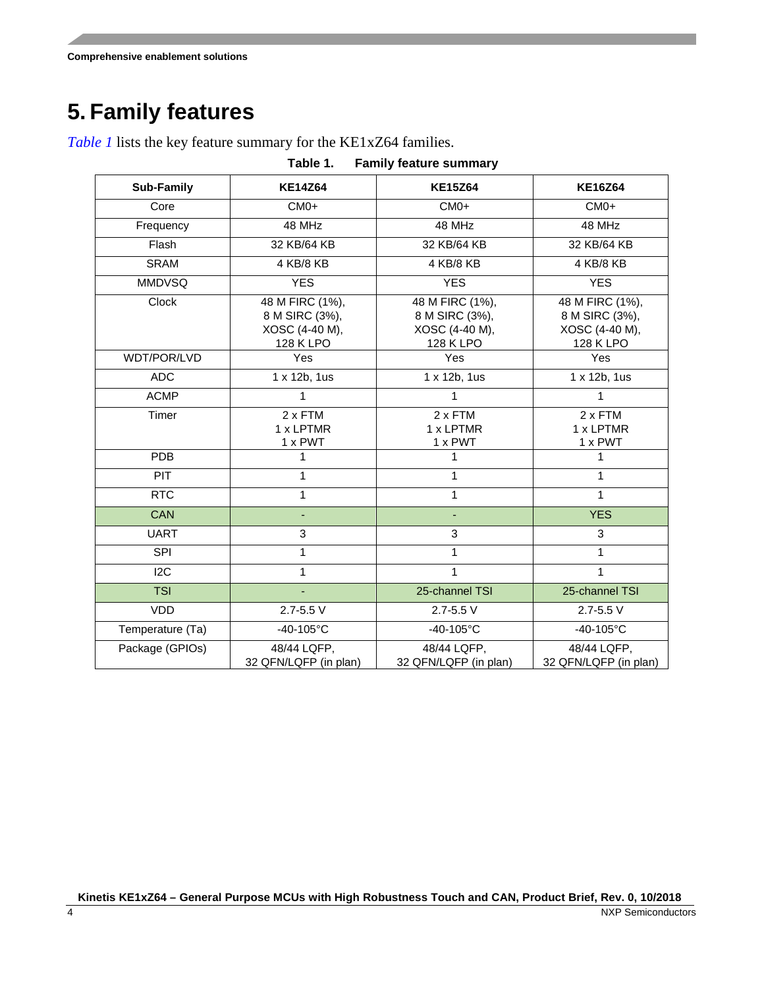**Comprehensive enablement solutions**

### <span id="page-3-0"></span>**5. Family features**

*Table 1* lists the key feature summary for the KE1xZ64 families.

| Table 1.<br><b>Family feature summary</b> |                                                                  |                                                                  |                                                                  |  |  |  |  |
|-------------------------------------------|------------------------------------------------------------------|------------------------------------------------------------------|------------------------------------------------------------------|--|--|--|--|
| Sub-Family                                | <b>KE14Z64</b>                                                   | <b>KE15Z64</b>                                                   | <b>KE16Z64</b>                                                   |  |  |  |  |
| Core                                      | $CMO+$                                                           | $CMO+$                                                           | $CMO+$                                                           |  |  |  |  |
| Frequency                                 | 48 MHz                                                           | 48 MHz                                                           | 48 MHz                                                           |  |  |  |  |
| Flash                                     | 32 KB/64 KB                                                      | 32 KB/64 KB                                                      | 32 KB/64 KB                                                      |  |  |  |  |
| <b>SRAM</b>                               | 4 KB/8 KB                                                        | 4 KB/8 KB                                                        | 4 KB/8 KB                                                        |  |  |  |  |
| <b>MMDVSQ</b>                             | <b>YES</b>                                                       | <b>YES</b>                                                       | <b>YES</b>                                                       |  |  |  |  |
| Clock                                     | 48 M FIRC (1%),<br>8 M SIRC (3%),<br>XOSC (4-40 M),<br>128 K LPO | 48 M FIRC (1%),<br>8 M SIRC (3%),<br>XOSC (4-40 M),<br>128 K LPO | 48 M FIRC (1%),<br>8 M SIRC (3%),<br>XOSC (4-40 M),<br>128 K LPO |  |  |  |  |
| WDT/POR/LVD                               | Yes                                                              | Yes                                                              | Yes                                                              |  |  |  |  |
| <b>ADC</b>                                | 1 x 12b, 1us                                                     | 1 x 12b, 1us                                                     | 1 x 12b, 1us                                                     |  |  |  |  |
| <b>ACMP</b>                               | 1                                                                | $\mathbf{1}$                                                     | 1                                                                |  |  |  |  |
| Timer                                     | 2 x FTM<br>1 x LPTMR<br>1 x PWT                                  | $2 \times$ FTM<br>1 x LPTMR<br>$1 \times$ PWT                    | 2 x FTM<br>1 x LPTMR<br>1 x PWT                                  |  |  |  |  |
| <b>PDB</b>                                | 1                                                                | 1                                                                | 1                                                                |  |  |  |  |
| PIT                                       | 1                                                                | $\mathbf{1}$                                                     | 1                                                                |  |  |  |  |
| <b>RTC</b>                                | $\mathbf{1}$                                                     | 1                                                                | 1                                                                |  |  |  |  |
| <b>CAN</b>                                | L.                                                               |                                                                  | <b>YES</b>                                                       |  |  |  |  |
| <b>UART</b>                               | 3                                                                | 3                                                                | 3                                                                |  |  |  |  |
| <b>SPI</b>                                | $\mathbf{1}$                                                     | $\mathbf{1}$                                                     | 1                                                                |  |  |  |  |
| 12C                                       | $\mathbf{1}$                                                     | 1                                                                | 1                                                                |  |  |  |  |
| <b>TSI</b>                                | ä,                                                               | 25-channel TSI                                                   | 25-channel TSI                                                   |  |  |  |  |
| <b>VDD</b>                                | $2.7 - 5.5$ V                                                    | $2.7 - 5.5$ V                                                    | $2.7 - 5.5$ V                                                    |  |  |  |  |
| Temperature (Ta)                          | $-40-105^{\circ}C$                                               | $-40-105$ °C                                                     | $-40-105$ °C                                                     |  |  |  |  |
| Package (GPIOs)                           | 48/44 LQFP,<br>32 QFN/LQFP (in plan)                             | 48/44 LQFP,<br>32 QFN/LQFP (in plan)                             | 48/44 LQFP,<br>32 QFN/LQFP (in plan)                             |  |  |  |  |

**Kinetis KE1xZ64 – General Purpose MCUs with High Robustness Touch and CAN, Product Brief, Rev. 0, 10/2018**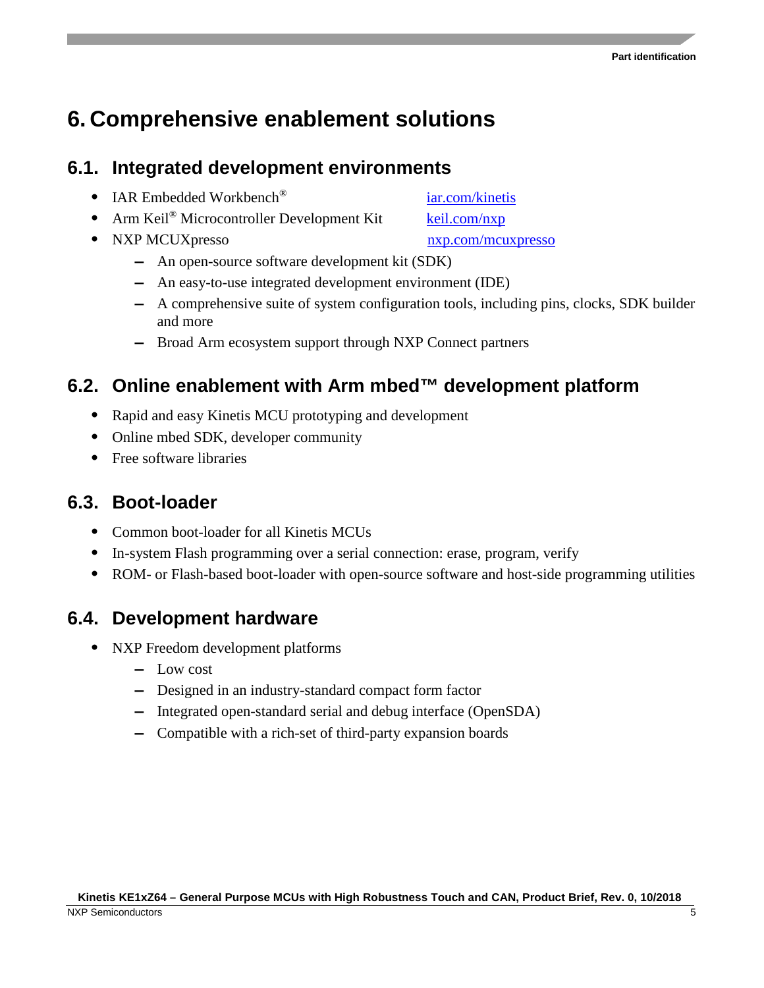### <span id="page-4-0"></span>**6. Comprehensive enablement solutions**

#### <span id="page-4-1"></span>**6.1. Integrated development environments**

- IAR Embedded Workbench<sup>®</sup> iar.com/kinetis
- Arm Keil<sup>®</sup> Microcontroller Development Kit keil.com/nxp
- NXP MCUXpresso nxp.com/mcuxpresso
	- **—** An open-source software development kit (SDK)
	- **—** An easy-to-use integrated development environment (IDE)
	- **—** A comprehensive suite of system configuration tools, including pins, clocks, SDK builder and more
	- **—** Broad Arm ecosystem support through NXP Connect partners

#### <span id="page-4-2"></span>**6.2. Online enablement with Arm mbed™ development platform**

- Rapid and easy Kinetis MCU prototyping and development
- Online mbed SDK, developer community
- Free software libraries

#### <span id="page-4-3"></span>**6.3. Boot-loader**

- Common boot-loader for all Kinetis MCUs
- In-system Flash programming over a serial connection: erase, program, verify
- ROM- or Flash-based boot-loader with open-source software and host-side programming utilities

#### <span id="page-4-4"></span>**6.4. Development hardware**

- NXP Freedom development platforms
	- **—** Low cost
	- **—** Designed in an industry-standard compact form factor
	- **—** Integrated open-standard serial and debug interface (OpenSDA)
	- **—** Compatible with a rich-set of third-party expansion boards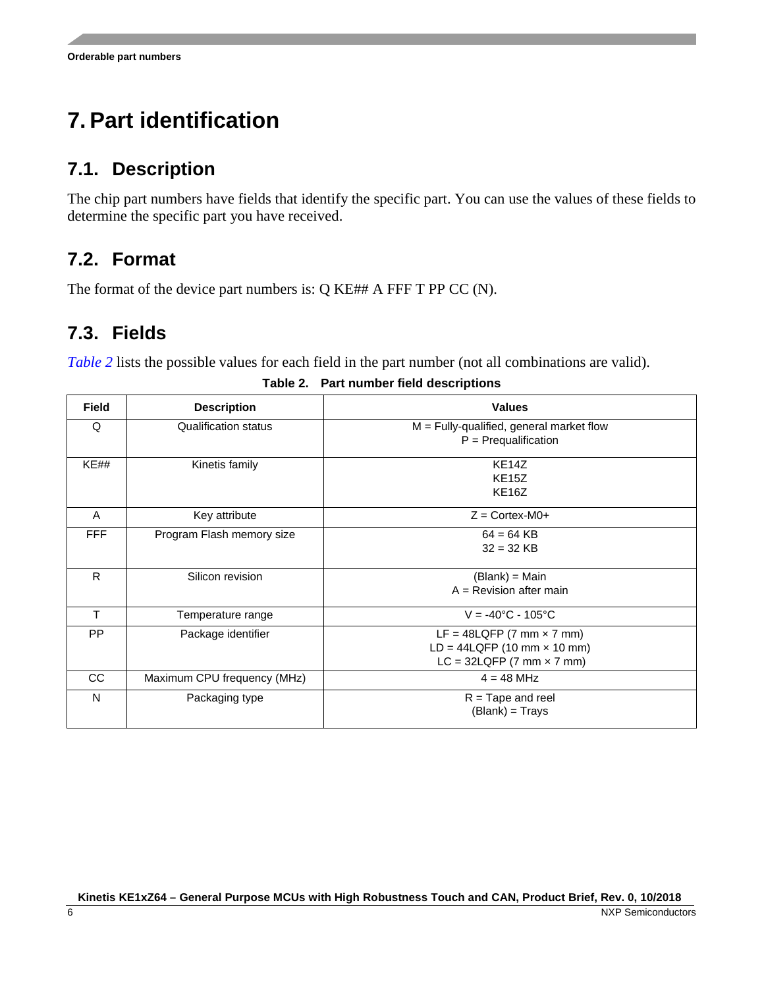## <span id="page-5-0"></span>**7. Part identification**

### <span id="page-5-1"></span>**7.1. Description**

The chip part numbers have fields that identify the specific part. You can use the values of these fields to determine the specific part you have received.

### <span id="page-5-2"></span>**7.2. Format**

The format of the device part numbers is: Q KE## A FFF T PP CC (N).

### <span id="page-5-3"></span>**7.3. Fields**

<span id="page-5-4"></span>*[Table 2](#page-5-4)* lists the possible values for each field in the part number (not all combinations are valid).

| <b>Field</b> | <b>Description</b>          | <b>Values</b>                                                                                       |
|--------------|-----------------------------|-----------------------------------------------------------------------------------------------------|
| Q            | <b>Qualification status</b> | $M =$ Fully-qualified, general market flow<br>$P = Prequalification$                                |
| KE##         | Kinetis family              | KE <sub>14</sub> Z<br>KE15Z<br>KE <sub>16</sub> Z                                                   |
| A            | Key attribute               | $Z =$ Cortex-M0+                                                                                    |
| <b>FFF</b>   | Program Flash memory size   | $64 = 64$ KB<br>$32 = 32$ KB                                                                        |
| R            | Silicon revision            | (Blank) = Main<br>$A =$ Revision after main                                                         |
| т            | Temperature range           | $V = -40^{\circ}C - 105^{\circ}C$                                                                   |
| <b>PP</b>    | Package identifier          | LF = $48$ LQFP (7 mm $\times$ 7 mm)<br>$LD = 44LQFP (10 mm × 10 mm)$<br>$LC = 32LQFP (7 mm × 7 mm)$ |
| CC           | Maximum CPU frequency (MHz) | $4 = 48$ MHz                                                                                        |
| N            | Packaging type              | $R =$ Tape and reel<br>(Blank) = Trays                                                              |

**Table 2. Part number field descriptions**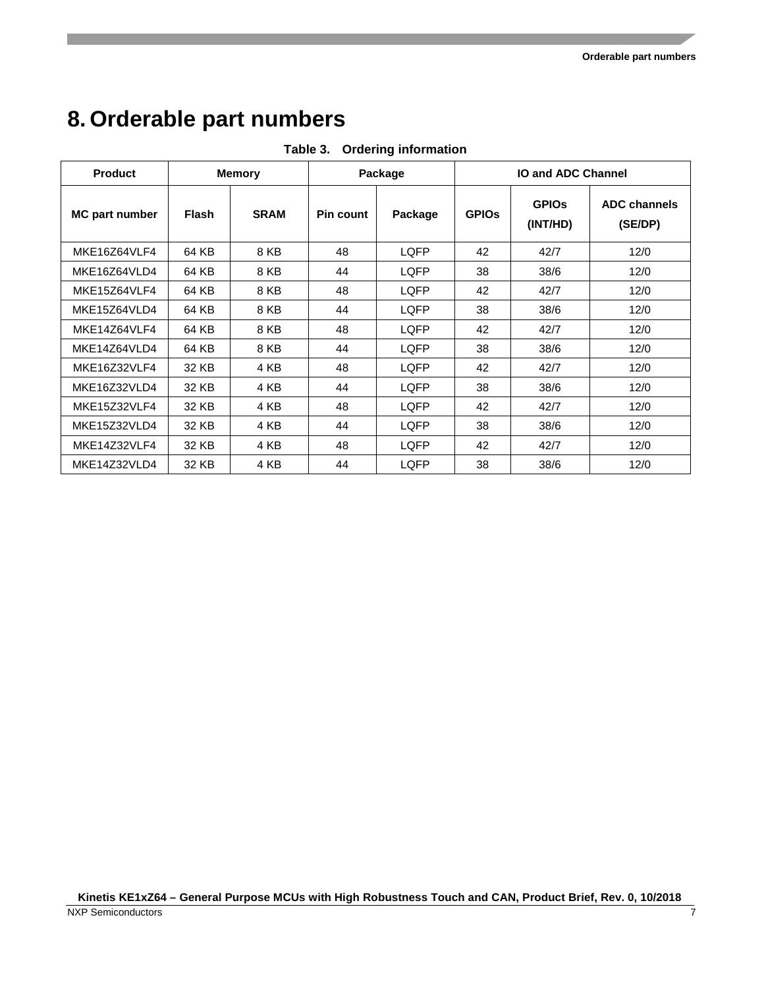### <span id="page-6-0"></span>**8. Orderable part numbers**

| <b>Product</b>        | <b>Memory</b> |             | Package   |             | <b>IO and ADC Channel</b> |                          |                                |
|-----------------------|---------------|-------------|-----------|-------------|---------------------------|--------------------------|--------------------------------|
| <b>MC part number</b> | <b>Flash</b>  | <b>SRAM</b> | Pin count | Package     | <b>GPIOS</b>              | <b>GPIOS</b><br>(INT/HD) | <b>ADC channels</b><br>(SE/DP) |
| MKE16Z64VLF4          | 64 KB         | 8 KB        | 48        | <b>LQFP</b> | 42                        | 42/7                     | 12/0                           |
| MKE16Z64VLD4          | 64 KB         | 8 KB        | 44        | LQFP        | 38                        | 38/6                     | 12/0                           |
| MKE15Z64VLF4          | 64 KB         | 8 KB        | 48        | LQFP        | 42                        | 42/7                     | 12/0                           |
| MKE15Z64VLD4          | 64 KB         | 8 KB        | 44        | <b>LQFP</b> | 38                        | 38/6                     | 12/0                           |
| MKF14764VLF4          | 64 KB         | 8 KB        | 48        | <b>LQFP</b> | 42                        | 42/7                     | 12/0                           |
| MKE14Z64VLD4          | 64 KB         | 8 KB        | 44        | LQFP        | 38                        | 38/6                     | 12/0                           |
| MKE16Z32VLF4          | 32 KB         | 4 KB        | 48        | LQFP        | 42                        | 42/7                     | 12/0                           |
| MKE16Z32VLD4          | 32 KB         | 4 KB        | 44        | <b>LQFP</b> | 38                        | 38/6                     | 12/0                           |
| MKE15Z32VLF4          | 32 KB         | 4 KB        | 48        | <b>LQFP</b> | 42                        | 42/7                     | 12/0                           |
| MKE15Z32VLD4          | 32 KB         | 4 KB        | 44        | LQFP        | 38                        | 38/6                     | 12/0                           |
| MKE14Z32VLF4          | 32 KB         | 4 KB        | 48        | <b>LQFP</b> | 42                        | 42/7                     | 12/0                           |
| MKE14Z32VLD4          | 32 KB         | 4 KB        | 44        | LQFP        | 38                        | 38/6                     | 12/0                           |

**Table 3. Ordering information**